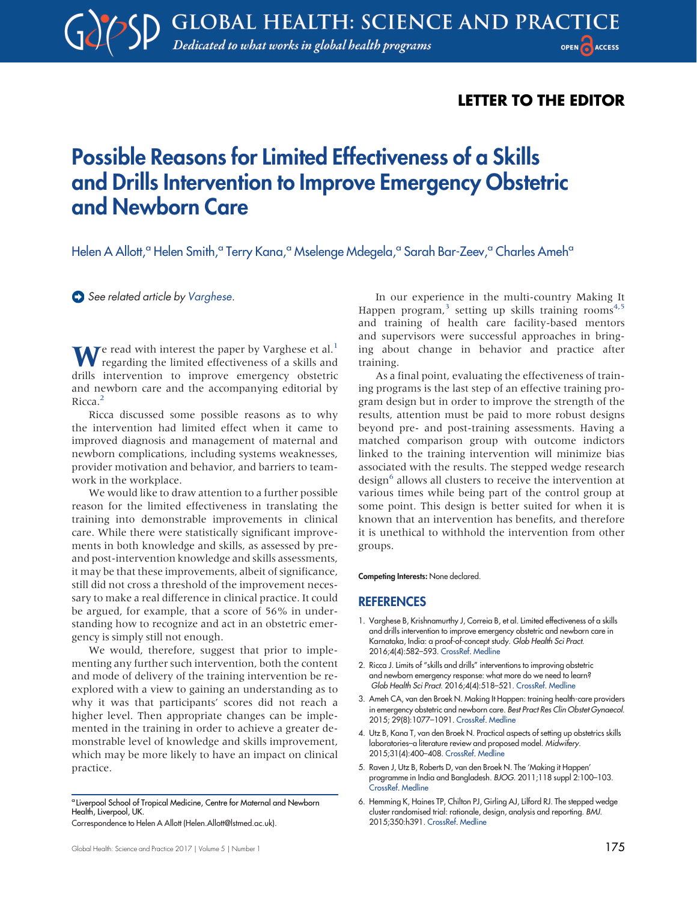## LETTER TO THE EDITOR

## Possible Reasons for Limited Effectiveness of a Skills and Drills Intervention to Improve Emergency Obstetric and Newborn Care

Helen A Allott,<sup>a</sup> Helen Smith,<sup>a</sup> Terry Kana,<sup>a</sup> Mselenge Mdegela,<sup>a</sup> Sarah Bar-Zeev,<sup>a</sup> Charles Ameh<sup>a</sup>

See related article by [Varghese.](https://dx.doi.org/10.9745/GHSP-D-16-00143)

We read with interest the paper by Varghese et al.<sup>[1](#page-0-0)</sup><br>regarding the limited effectiveness of a skills and drills intervention to improve emergency obstetric and newborn care and the accompanying editorial by Ricca.<sup>[2](#page-0-1)</sup>

Ricca discussed some possible reasons as to why the intervention had limited effect when it came to improved diagnosis and management of maternal and newborn complications, including systems weaknesses, provider motivation and behavior, and barriers to teamwork in the workplace.

We would like to draw attention to a further possible reason for the limited effectiveness in translating the training into demonstrable improvements in clinical care. While there were statistically significant improvements in both knowledge and skills, as assessed by preand post-intervention knowledge and skills assessments, it may be that these improvements, albeit of significance, still did not cross a threshold of the improvement necessary to make a real difference in clinical practice. It could be argued, for example, that a score of 56% in understanding how to recognize and act in an obstetric emergency is simply still not enough.

We would, therefore, suggest that prior to implementing any further such intervention, both the content and mode of delivery of the training intervention be reexplored with a view to gaining an understanding as to why it was that participants' scores did not reach a higher level. Then appropriate changes can be implemented in the training in order to achieve a greater demonstrable level of knowledge and skills improvement, which may be more likely to have an impact on clinical practice.

<sup>a</sup> Liverpool School of Tropical Medicine, Centre for Maternal and Newborn Health, Liverpool, UK.

Correspondence to Helen A Allott [\(Helen.Allott@lstmed.ac.uk](mailto:Helen.Allott@lstmed.ac.uk)).

In our experience in the multi-country Making It Happen program,<sup>3</sup> [setting up skills training rooms](#page-0-2)<sup>[4,](#page-0-3)[5](#page-0-4)</sup> and training of health care facility-based mentors and supervisors were successful approaches in bringing about change in behavior and practice after training.

As a final point, evaluating the effectiveness of training programs is the last step of an effective training program design but in order to improve the strength of the results, attention must be paid to more robust designs beyond pre- and post-training assessments. Having a matched comparison group with outcome indictors linked to the training intervention will minimize bias associated with the results. The stepped wedge research  $\text{design}^6$  [allows all clusters to receive the intervention at](#page-0-5) various times while being part of the control group at some point. This design is better suited for when it is known that an intervention has benefits, and therefore it is unethical to withhold the intervention from other groups.

Competing Interests: None declared.

## **REFERENCES**

- <span id="page-0-0"></span>1. Varghese B, Krishnamurthy J, Correia B, et al. Limited effectiveness of a skills and drills intervention to improve emergency obstetric and newborn care in Karnataka, India: a proof-of-concept study. Glob Health Sci Pract. 2016;4(4):582–593. [CrossRef](https://doi.org/10.9745/GHSP-D-16-00143). [Medline](http://www.ncbi.nlm.nih.gov/pubmed/27993924)
- <span id="page-0-1"></span>2. Ricca J. Limits of "skills and drills" interventions to improving obstetric and newborn emergency response: what more do we need to learn? Glob Health Sci Pract. 2016;4(4):518–521. [CrossRef.](https://doi.org/10.9745/GHSP-D-16-00372) [Medline](http://www.ncbi.nlm.nih.gov/pubmed/27993925)
- <span id="page-0-2"></span>3. Ameh CA, van den Broek N. Making It Happen: training health-care providers in emergency obstetric and newborn care. Best Pract Res Clin Obstet Gynaecol. 2015; 29(8):1077–1091. [CrossRef](https://doi.org/10.1016/j.bpobgyn.2015.03.019). [Medline](http://www.ncbi.nlm.nih.gov/pubmed/25911056)
- <span id="page-0-3"></span>4. Utz B, Kana T, van den Broek N. Practical aspects of setting up obstetrics skills laboratories–a literature review and proposed model. Midwifery. 2015;31(4):400–408. [CrossRef](https://doi.org/10.1016/j.midw.2014.11.010). [Medline](http://www.ncbi.nlm.nih.gov/pubmed/25535017)
- <span id="page-0-4"></span>5. Raven J, Utz B, Roberts D, van den Broek N. The 'Making it Happen' programme in India and Bangladesh. BJOG. 2011;118 suppl 2:100–103. [CrossRef](https://doi.org/10.1111/j.1471-0528.2011.03119.x). [Medline](http://www.ncbi.nlm.nih.gov/pubmed/21951509)
- <span id="page-0-5"></span>6. Hemming K, Haines TP, Chilton PJ, Girling AJ, Lilford RJ. The stepped wedge cluster randomised trial: rationale, design, analysis and reporting. BMJ. 2015;350:h391. [CrossRef.](https://doi.org/10.1136/bmj.h391) [Medline](http://www.ncbi.nlm.nih.gov/pubmed/25662947)